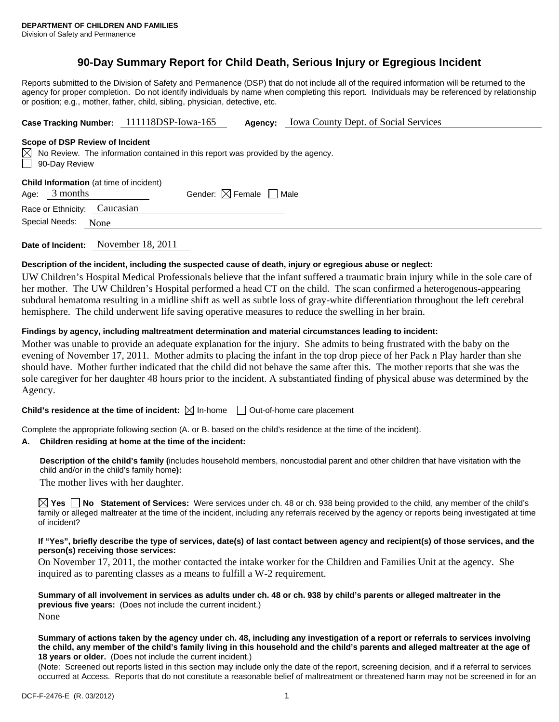# **90-Day Summary Report for Child Death, Serious Injury or Egregious Incident**

Reports submitted to the Division of Safety and Permanence (DSP) that do not include all of the required information will be returned to the agency for proper completion. Do not identify individuals by name when completing this report. Individuals may be referenced by relationship or position; e.g., mother, father, child, sibling, physician, detective, etc.

**Case Tracking Number:** 111118DSP-Iowa-165 **Agency:** Iowa County Dept. of Social Services

### **Scope of DSP Review of Incident**

|               | $\boxtimes$ No Review. The information contained in this report was provided by the agency. |
|---------------|---------------------------------------------------------------------------------------------|
| 90-Day Review |                                                                                             |

|  | Child Information (at time of incident) |
|--|-----------------------------------------|
|--|-----------------------------------------|

| Age: $3$ months | Gender: $\boxtimes$ Female $\Box$ Male |  |
|-----------------|----------------------------------------|--|
|                 |                                        |  |

Race or Ethnicity: Caucasian Special Needs: None

| Date of Incident: | November 18, 2011 |
|-------------------|-------------------|
|                   |                   |

# **Description of the incident, including the suspected cause of death, injury or egregious abuse or neglect:**

UW Children's Hospital Medical Professionals believe that the infant suffered a traumatic brain injury while in the sole care of her mother. The UW Children's Hospital performed a head CT on the child. The scan confirmed a heterogenous-appearing subdural hematoma resulting in a midline shift as well as subtle loss of gray-white differentiation throughout the left cerebral hemisphere. The child underwent life saving operative measures to reduce the swelling in her brain.

# **Findings by agency, including maltreatment determination and material circumstances leading to incident:**

Mother was unable to provide an adequate explanation for the injury. She admits to being frustrated with the baby on the evening of November 17, 2011. Mother admits to placing the infant in the top drop piece of her Pack n Play harder than she should have. Mother further indicated that the child did not behave the same after this. The mother reports that she was the sole caregiver for her daughter 48 hours prior to the incident. A substantiated finding of physical abuse was determined by the Agency.

**Child's residence at the time of incident:**  $\boxtimes$  In-home  $\Box$  Out-of-home care placement

Complete the appropriate following section (A. or B. based on the child's residence at the time of the incident).

# **A. Children residing at home at the time of the incident:**

**Description of the child's family (**includes household members, noncustodial parent and other children that have visitation with the child and/or in the child's family home**):** 

The mother lives with her daughter.

**Yes No Statement of Services:** Were services under ch. 48 or ch. 938 being provided to the child, any member of the child's family or alleged maltreater at the time of the incident, including any referrals received by the agency or reports being investigated at time of incident?

### **If "Yes", briefly describe the type of services, date(s) of last contact between agency and recipient(s) of those services, and the person(s) receiving those services:**

On November 17, 2011, the mother contacted the intake worker for the Children and Families Unit at the agency. She inquired as to parenting classes as a means to fulfill a W-2 requirement.

**Summary of all involvement in services as adults under ch. 48 or ch. 938 by child's parents or alleged maltreater in the previous five years:** (Does not include the current incident.) None

#### **Summary of actions taken by the agency under ch. 48, including any investigation of a report or referrals to services involving the child, any member of the child's family living in this household and the child's parents and alleged maltreater at the age of 18 years or older.** (Does not include the current incident.)

(Note: Screened out reports listed in this section may include only the date of the report, screening decision, and if a referral to services occurred at Access. Reports that do not constitute a reasonable belief of maltreatment or threatened harm may not be screened in for an